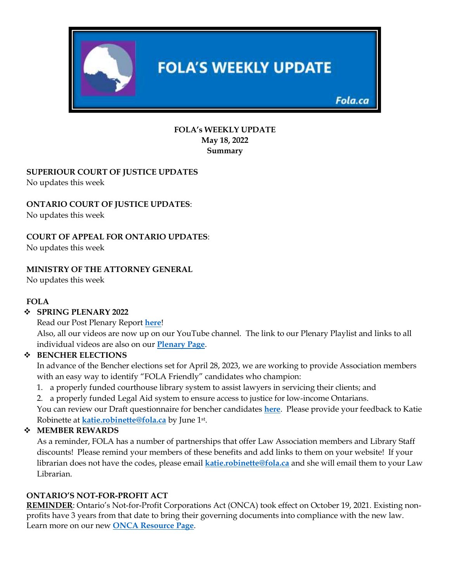

### **FOLA's WEEKLY UPDATE May 18, 2022 Summary**

# **SUPERIOUR COURT OF JUSTICE UPDATES**

No updates this week

# **ONTARIO COURT OF JUSTICE UPDATES**:

No updates this week

## **COURT OF APPEAL FOR ONTARIO UPDATES**:

No updates this week

## **MINISTRY OF THE ATTORNEY GENERAL**

No updates this week

### **FOLA**

### ❖ **SPRING PLENARY 2022**

Read our Post Plenary Report **here**!

Also, all our videos are now up on our YouTube channel. The link to our Plenary Playlist and links to all individual videos are also on our **Plenary Page**.

### ❖ **BENCHER ELECTIONS**

In advance of the Bencher elections set for April 28, 2023, we are working to provide Association members with an easy way to identify "FOLA Friendly" candidates who champion:

1. a properly funded courthouse library system to assist lawyers in servicing their clients; and

2. a properly funded Legal Aid system to ensure access to justice for low-income Ontarians.

You can review our Draft questionnaire for bencher candidates **here**. Please provide your feedback to Katie Robinette at **katie.robinette@fola.ca** by June 1st .

# ❖ **MEMBER REWARDS**

As a reminder, FOLA has a number of partnerships that offer Law Association members and Library Staff discounts! Please remind your members of these benefits and add links to them on your website! If your librarian does not have the codes, please email **katie.robinette@fola.ca** and she will email them to your Law Librarian.

# **ONTARIO'S NOT-FOR-PROFIT ACT**

**REMINDER**: Ontario's Not-for-Profit Corporations Act (ONCA) took effect on October 19, 2021. Existing nonprofits have 3 years from that date to bring their governing documents into compliance with the new law. Learn more on our new **ONCA Resource Page**.